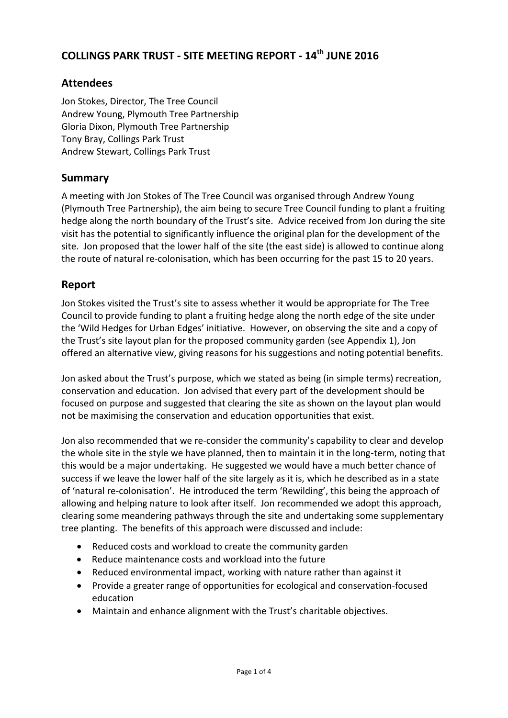# **COLLINGS PARK TRUST - SITE MEETING REPORT - 14th JUNE 2016**

### **Attendees**

Jon Stokes, Director, The Tree Council Andrew Young, Plymouth Tree Partnership Gloria Dixon, Plymouth Tree Partnership Tony Bray, Collings Park Trust Andrew Stewart, Collings Park Trust

### **Summary**

A meeting with Jon Stokes of The Tree Council was organised through Andrew Young (Plymouth Tree Partnership), the aim being to secure Tree Council funding to plant a fruiting hedge along the north boundary of the Trust's site. Advice received from Jon during the site visit has the potential to significantly influence the original plan for the development of the site. Jon proposed that the lower half of the site (the east side) is allowed to continue along the route of natural re-colonisation, which has been occurring for the past 15 to 20 years.

### **Report**

Jon Stokes visited the Trust's site to assess whether it would be appropriate for The Tree Council to provide funding to plant a fruiting hedge along the north edge of the site under the 'Wild Hedges for Urban Edges' initiative. However, on observing the site and a copy of the Trust's site layout plan for the proposed community garden (see Appendix 1), Jon offered an alternative view, giving reasons for his suggestions and noting potential benefits.

Jon asked about the Trust's purpose, which we stated as being (in simple terms) recreation, conservation and education. Jon advised that every part of the development should be focused on purpose and suggested that clearing the site as shown on the layout plan would not be maximising the conservation and education opportunities that exist.

Jon also recommended that we re-consider the community's capability to clear and develop the whole site in the style we have planned, then to maintain it in the long-term, noting that this would be a major undertaking. He suggested we would have a much better chance of success if we leave the lower half of the site largely as it is, which he described as in a state of 'natural re-colonisation'. He introduced the term 'Rewilding', this being the approach of allowing and helping nature to look after itself. Jon recommended we adopt this approach, clearing some meandering pathways through the site and undertaking some supplementary tree planting. The benefits of this approach were discussed and include:

- Reduced costs and workload to create the community garden
- Reduce maintenance costs and workload into the future
- Reduced environmental impact, working with nature rather than against it
- Provide a greater range of opportunities for ecological and conservation-focused education
- Maintain and enhance alignment with the Trust's charitable objectives.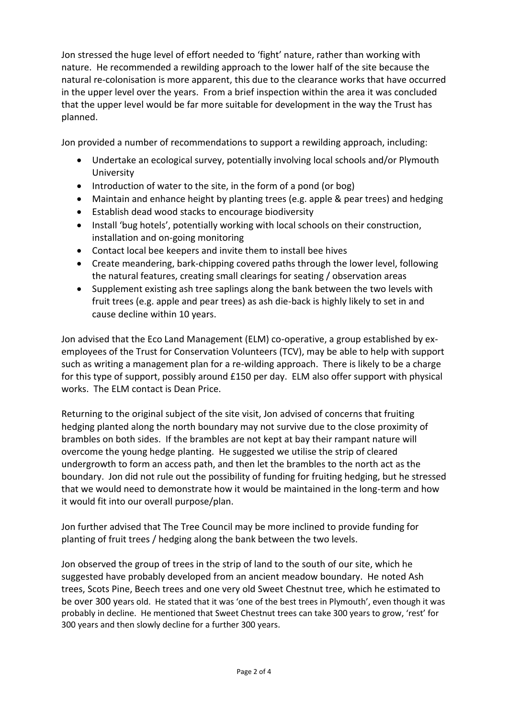Jon stressed the huge level of effort needed to 'fight' nature, rather than working with nature. He recommended a rewilding approach to the lower half of the site because the natural re-colonisation is more apparent, this due to the clearance works that have occurred in the upper level over the years. From a brief inspection within the area it was concluded that the upper level would be far more suitable for development in the way the Trust has planned.

Jon provided a number of recommendations to support a rewilding approach, including:

- Undertake an ecological survey, potentially involving local schools and/or Plymouth University
- $\bullet$  Introduction of water to the site, in the form of a pond (or bog)
- Maintain and enhance height by planting trees (e.g. apple & pear trees) and hedging
- Establish dead wood stacks to encourage biodiversity
- Install 'bug hotels', potentially working with local schools on their construction, installation and on-going monitoring
- Contact local bee keepers and invite them to install bee hives
- Create meandering, bark-chipping covered paths through the lower level, following the natural features, creating small clearings for seating / observation areas
- Supplement existing ash tree saplings along the bank between the two levels with fruit trees (e.g. apple and pear trees) as ash die-back is highly likely to set in and cause decline within 10 years.

Jon advised that the Eco Land Management (ELM) co-operative, a group established by exemployees of the Trust for Conservation Volunteers (TCV), may be able to help with support such as writing a management plan for a re-wilding approach. There is likely to be a charge for this type of support, possibly around £150 per day. ELM also offer support with physical works. The ELM contact is Dean Price.

Returning to the original subject of the site visit, Jon advised of concerns that fruiting hedging planted along the north boundary may not survive due to the close proximity of brambles on both sides. If the brambles are not kept at bay their rampant nature will overcome the young hedge planting. He suggested we utilise the strip of cleared undergrowth to form an access path, and then let the brambles to the north act as the boundary. Jon did not rule out the possibility of funding for fruiting hedging, but he stressed that we would need to demonstrate how it would be maintained in the long-term and how it would fit into our overall purpose/plan.

Jon further advised that The Tree Council may be more inclined to provide funding for planting of fruit trees / hedging along the bank between the two levels.

Jon observed the group of trees in the strip of land to the south of our site, which he suggested have probably developed from an ancient meadow boundary. He noted Ash trees, Scots Pine, Beech trees and one very old Sweet Chestnut tree, which he estimated to be over 300 years old. He stated that it was 'one of the best trees in Plymouth', even though it was probably in decline. He mentioned that Sweet Chestnut trees can take 300 years to grow, 'rest' for 300 years and then slowly decline for a further 300 years.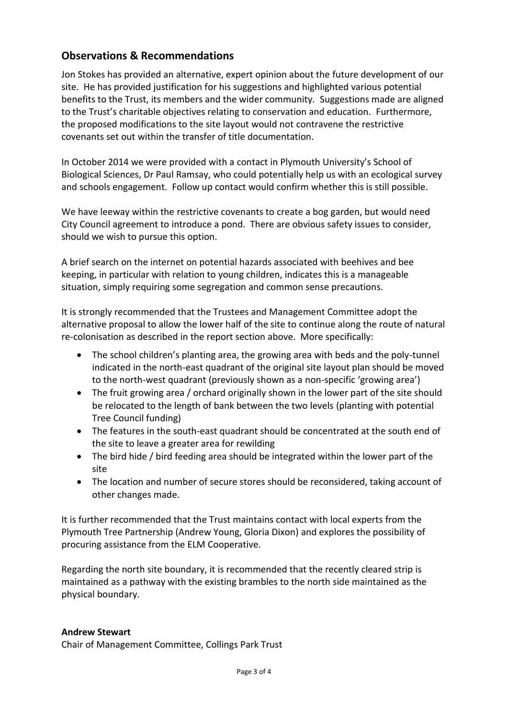## **Observations & Recommendations**

Jon Stokes has provided an alternative, expert opinion about the future development of our site. He has provided justification for his suggestions and highlighted various potential benefits to the Trust, its members and the wider community. Suggestions made are aligned to the Trust's charitable objectives relating to conservation and education. Furthermore, the proposed modifications to the site layout would not contravene the restrictive covenants set out within the transfer of title documentation.

In October 2014 we were provided with a contact in Plymouth University's School of Biological Sciences, Dr Paul Ramsay, who could potentially help us with an ecological survey and schools engagement. Follow up contact would confirm whether this is still possible.

We have leeway within the restrictive covenants to create a bog garden, but would need City Council agreement to introduce a pond. There are obvious safety issues to consider, should we wish to pursue this option.

A brief search on the internet on potential hazards associated with beehives and bee keeping, in particular with relation to young children, indicates this is a manageable situation, simply requiring some segregation and common sense precautions.

It is strongly recommended that the Trustees and Management Committee adopt the alternative proposal to allow the lower half of the site to continue along the route of natural re-colonisation as described in the report section above. More specifically:

- The school children's planting area, the growing area with beds and the poly-tunnel indicated in the north-east quadrant of the original site layout plan should be moved to the north-west quadrant (previously shown as a non-specific 'growing area')
- The fruit growing area / orchard originally shown in the lower part of the site should be relocated to the length of bank between the two levels (planting with potential Tree Council funding)
- The features in the south-east quadrant should be concentrated at the south end of the site to leave a greater area for rewilding
- The bird hide / bird feeding area should be integrated within the lower part of the site
- The location and number of secure stores should be reconsidered, taking account of other changes made.

It is further recommended that the Trust maintains contact with local experts from the Plymouth Tree Partnership (Andrew Young, Gloria Dixon) and explores the possibility of procuring assistance from the ELM Cooperative.

Regarding the north site boundary, it is recommended that the recently cleared strip is maintained as a pathway with the existing brambles to the north side maintained as the physical boundary.

#### **Andrew Stewart**

Chair of Management Committee, Collings Park Trust